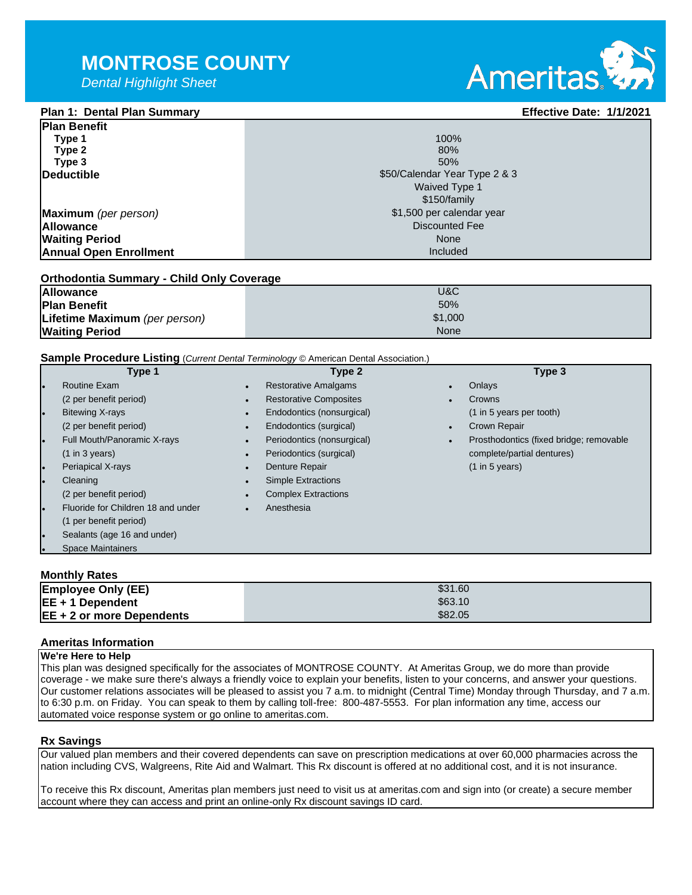*Dental Highlight Sheet*

# Ameritas

#### **Plan 1: Dental Plan Summary Effective Date: 1/1/2021 Plan Benefit**

| IFIAN DENENT                  |                               |  |  |
|-------------------------------|-------------------------------|--|--|
| Type 1                        | 100%                          |  |  |
| Type 2                        | 80%                           |  |  |
| Type 3                        | 50%                           |  |  |
| Deductible                    | \$50/Calendar Year Type 2 & 3 |  |  |
|                               | Waived Type 1                 |  |  |
|                               | \$150/family                  |  |  |
| Maximum (per person)          | \$1,500 per calendar year     |  |  |
| <b>Allowance</b>              | Discounted Fee                |  |  |
| <b>Waiting Period</b>         | None                          |  |  |
| <b>Annual Open Enrollment</b> | Included                      |  |  |
|                               |                               |  |  |

#### **Orthodontia Summary - Child Only Coverage**

| <b>Allowance</b>              | U&C     |
|-------------------------------|---------|
| <b>Plan Benefit</b>           | 50%     |
| Lifetime Maximum (per person) | \$1,000 |
| <b>Waiting Period</b>         | None    |

#### **Sample Procedure Listing** (*Current Dental Terminology* © American Dental Association.)

|           | Type 1                             |           | Type 2                        |           | Type 3                                  |
|-----------|------------------------------------|-----------|-------------------------------|-----------|-----------------------------------------|
|           | Routine Exam                       | $\bullet$ | <b>Restorative Amalgams</b>   | $\bullet$ | Onlays                                  |
|           | (2 per benefit period)             | $\bullet$ | <b>Restorative Composites</b> | $\bullet$ | Crowns                                  |
|           | <b>Bitewing X-rays</b>             | $\bullet$ | Endodontics (nonsurgical)     |           | (1 in 5 years per tooth)                |
|           | (2 per benefit period)             | $\bullet$ | Endodontics (surgical)        | $\bullet$ | <b>Crown Repair</b>                     |
|           | Full Mouth/Panoramic X-rays        | $\bullet$ | Periodontics (nonsurgical)    | $\bullet$ | Prosthodontics (fixed bridge; removable |
|           | $(1 \text{ in } 3 \text{ years})$  | $\bullet$ | Periodontics (surgical)       |           | complete/partial dentures)              |
| $\bullet$ | <b>Periapical X-rays</b>           | $\bullet$ | Denture Repair                |           | $(1 \text{ in } 5 \text{ years})$       |
| l o       | Cleaning                           | $\bullet$ | <b>Simple Extractions</b>     |           |                                         |
|           | (2 per benefit period)             | $\bullet$ | <b>Complex Extractions</b>    |           |                                         |
| l o       | Fluoride for Children 18 and under | $\bullet$ | Anesthesia                    |           |                                         |
|           | (1 per benefit period)             |           |                               |           |                                         |
| $\bullet$ | Sealants (age 16 and under)        |           |                               |           |                                         |
| $\bullet$ | <b>Space Maintainers</b>           |           |                               |           |                                         |
|           |                                    |           |                               |           |                                         |

### **Monthly Rates**

| <b>Employee Only (EE)</b>   | \$31.60 |
|-----------------------------|---------|
| $EE + 1$ Dependent          | \$63.10 |
| $EE + 2$ or more Dependents | \$82.05 |

#### **Ameritas Information**

#### **We're Here to Help**

This plan was designed specifically for the associates of MONTROSE COUNTY. At Ameritas Group, we do more than provide coverage - we make sure there's always a friendly voice to explain your benefits, listen to your concerns, and answer your questions. Our customer relations associates will be pleased to assist you 7 a.m. to midnight (Central Time) Monday through Thursday, and 7 a.m. to 6:30 p.m. on Friday. You can speak to them by calling toll-free: 800-487-5553. For plan information any time, access our automated voice response system or go online to ameritas.com.

#### **Rx Savings**

Our valued plan members and their covered dependents can save on prescription medications at over 60,000 pharmacies across the nation including CVS, Walgreens, Rite Aid and Walmart. This Rx discount is offered at no additional cost, and it is not insurance.

To receive this Rx discount, Ameritas plan members just need to visit us at ameritas.com and sign into (or create) a secure member account where they can access and print an online-only Rx discount savings ID card.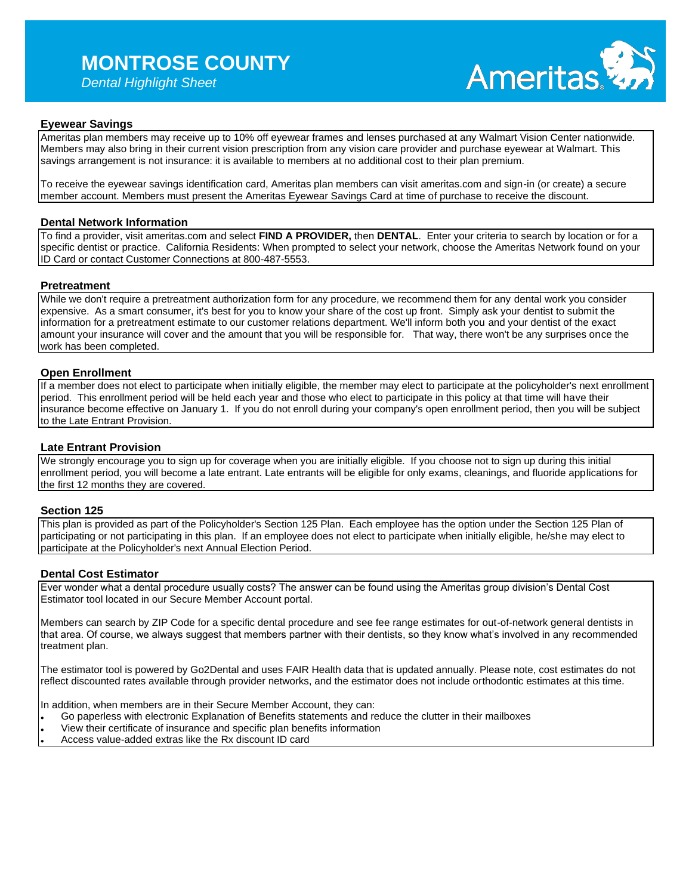## **MONTROSE COUNTY**

*Dental Highlight Sheet*



### **Eyewear Savings**

Ameritas plan members may receive up to 10% off eyewear frames and lenses purchased at any Walmart Vision Center nationwide. Members may also bring in their current vision prescription from any vision care provider and purchase eyewear at Walmart. This savings arrangement is not insurance: it is available to members at no additional cost to their plan premium.

To receive the eyewear savings identification card, Ameritas plan members can visit ameritas.com and sign-in (or create) a secure member account. Members must present the Ameritas Eyewear Savings Card at time of purchase to receive the discount.

#### **Dental Network Information**

To find a provider, visit ameritas.com and select **FIND A PROVIDER,** then **DENTAL**. Enter your criteria to search by location or for a specific dentist or practice. California Residents: When prompted to select your network, choose the Ameritas Network found on your ID Card or contact Customer Connections at 800-487-5553.

#### **Pretreatment**

While we don't require a pretreatment authorization form for any procedure, we recommend them for any dental work you consider expensive. As a smart consumer, it's best for you to know your share of the cost up front. Simply ask your dentist to submit the information for a pretreatment estimate to our customer relations department. We'll inform both you and your dentist of the exact amount your insurance will cover and the amount that you will be responsible for. That way, there won't be any surprises once the work has been completed.

#### **Open Enrollment**

If a member does not elect to participate when initially eligible, the member may elect to participate at the policyholder's next enrollment period. This enrollment period will be held each year and those who elect to participate in this policy at that time will have their insurance become effective on January 1. If you do not enroll during your company's open enrollment period, then you will be subject to the Late Entrant Provision.

#### **Late Entrant Provision**

We strongly encourage you to sign up for coverage when you are initially eligible. If you choose not to sign up during this initial enrollment period, you will become a late entrant. Late entrants will be eligible for only exams, cleanings, and fluoride applications for the first 12 months they are covered.

#### **Section 125**

This plan is provided as part of the Policyholder's Section 125 Plan. Each employee has the option under the Section 125 Plan of participating or not participating in this plan. If an employee does not elect to participate when initially eligible, he/she may elect to participate at the Policyholder's next Annual Election Period.

#### **Dental Cost Estimator**

Ever wonder what a dental procedure usually costs? The answer can be found using the Ameritas group division's Dental Cost Estimator tool located in our Secure Member Account portal.

Members can search by ZIP Code for a specific dental procedure and see fee range estimates for out-of-network general dentists in that area. Of course, we always suggest that members partner with their dentists, so they know what's involved in any recommended treatment plan.

The estimator tool is powered by Go2Dental and uses FAIR Health data that is updated annually. Please note, cost estimates do not reflect discounted rates available through provider networks, and the estimator does not include orthodontic estimates at this time.

In addition, when members are in their Secure Member Account, they can:

- ⚫ Go paperless with electronic Explanation of Benefits statements and reduce the clutter in their mailboxes
- ⚫ View their certificate of insurance and specific plan benefits information
- ⚫ Access value-added extras like the Rx discount ID card